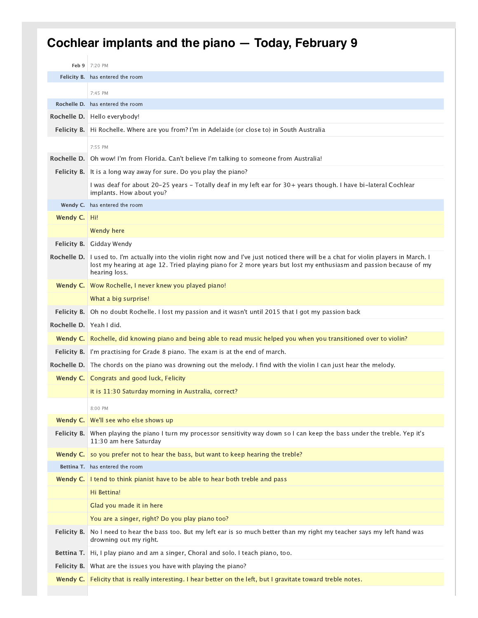## **Cochlear implants and the piano — Today, February 9**

| Feb 9              | 7:20 PM                                                                                                                                                                                                                                                          |
|--------------------|------------------------------------------------------------------------------------------------------------------------------------------------------------------------------------------------------------------------------------------------------------------|
|                    | Felicity B. has entered the room                                                                                                                                                                                                                                 |
|                    | 7:45 PM                                                                                                                                                                                                                                                          |
|                    | <b>Rochelle D.</b> has entered the room                                                                                                                                                                                                                          |
|                    | Rochelle D. Hello everybody!                                                                                                                                                                                                                                     |
| <b>Felicity B.</b> | Hi Rochelle. Where are you from? I'm in Adelaide (or close to) in South Australia                                                                                                                                                                                |
|                    | 7:55 PM                                                                                                                                                                                                                                                          |
|                    | Rochelle D. Oh wow! I'm from Florida. Can't believe I'm talking to someone from Australia!                                                                                                                                                                       |
| Felicity B.        | It is a long way away for sure. Do you play the piano?                                                                                                                                                                                                           |
|                    | I was deaf for about 20-25 years - Totally deaf in my left ear for 30+ years though. I have bi-lateral Cochlear                                                                                                                                                  |
|                    | implants. How about you?                                                                                                                                                                                                                                         |
|                    | Wendy C. has entered the room                                                                                                                                                                                                                                    |
| Wendy C.   Hi!     |                                                                                                                                                                                                                                                                  |
|                    | Wendy here                                                                                                                                                                                                                                                       |
| <b>Felicity B.</b> | Gidday Wendy                                                                                                                                                                                                                                                     |
| Rochelle D.        | I used to. I'm actually into the violin right now and I've just noticed there will be a chat for violin players in March. I<br>lost my hearing at age 12. Tried playing piano for 2 more years but lost my enthusiasm and passion because of my<br>hearing loss. |
|                    | Wendy C.   Wow Rochelle, I never knew you played piano!                                                                                                                                                                                                          |
|                    | What a big surprise!                                                                                                                                                                                                                                             |
| Felicity B.        | Oh no doubt Rochelle. I lost my passion and it wasn't until 2015 that I got my passion back                                                                                                                                                                      |
| Rochelle D.        | Yeah I did.                                                                                                                                                                                                                                                      |
|                    | Wendy C. Rochelle, did knowing piano and being able to read music helped you when you transitioned over to violin?                                                                                                                                               |
| <b>Felicity B.</b> | I'm practising for Grade 8 piano. The exam is at the end of march.                                                                                                                                                                                               |
|                    | Rochelle D. The chords on the piano was drowning out the melody. I find with the violin I can just hear the melody.                                                                                                                                              |
|                    | <b>Wendy C.</b> Congrats and good luck, Felicity                                                                                                                                                                                                                 |
|                    | it is 11:30 Saturday morning in Australia, correct?                                                                                                                                                                                                              |
|                    | 8:00 PM                                                                                                                                                                                                                                                          |
| Wendy C.           | We'll see who else shows up                                                                                                                                                                                                                                      |
| Felicity B.        | When playing the piano I turn my processor sensitivity way down so I can keep the bass under the treble. Yep it's<br>11:30 am here Saturday                                                                                                                      |
| Wendy C.           | so you prefer not to hear the bass, but want to keep hearing the treble?                                                                                                                                                                                         |
|                    | Bettina T. has entered the room                                                                                                                                                                                                                                  |
| Wendy C.           | I tend to think pianist have to be able to hear both treble and pass                                                                                                                                                                                             |
|                    | Hi Bettina!                                                                                                                                                                                                                                                      |
|                    | Glad you made it in here                                                                                                                                                                                                                                         |
|                    | You are a singer, right? Do you play piano too?                                                                                                                                                                                                                  |
| Felicity B.        | No I need to hear the bass too. But my left ear is so much better than my right my teacher says my left hand was<br>drowning out my right.                                                                                                                       |
| Bettina T.         | Hi, I play piano and am a singer, Choral and solo. I teach piano, too.                                                                                                                                                                                           |
|                    | <b>Felicity B.</b> What are the issues you have with playing the piano?                                                                                                                                                                                          |
| Wendy C.           | Felicity that is really interesting. I hear better on the left, but I gravitate toward treble notes.                                                                                                                                                             |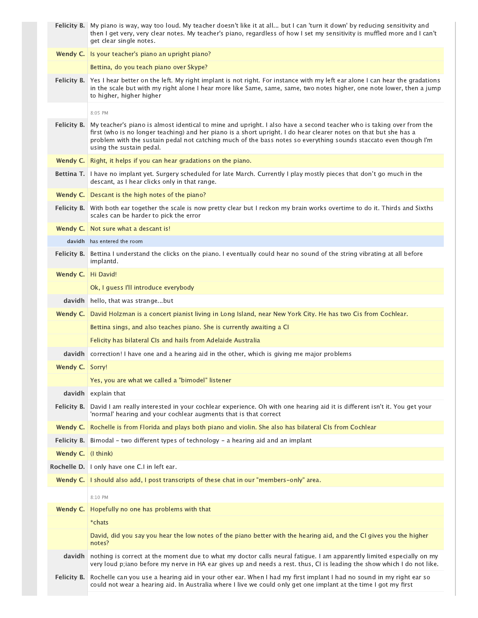|                    | Felicity B.   My piano is way, way too loud. My teacher doesn't like it at all but I can 'turn it down' by reducing sensitivity and<br>then I get very, very clear notes. My teacher's piano, regardless of how I set my sensitivity is muffled more and I can't<br>get clear single notes.                                                                                               |
|--------------------|-------------------------------------------------------------------------------------------------------------------------------------------------------------------------------------------------------------------------------------------------------------------------------------------------------------------------------------------------------------------------------------------|
| Wendy C.           | Is your teacher's piano an upright piano?                                                                                                                                                                                                                                                                                                                                                 |
|                    | Bettina, do you teach piano over Skype?                                                                                                                                                                                                                                                                                                                                                   |
| Felicity B.        | Yes I hear better on the left. My right implant is not right. For instance with my left ear alone I can hear the gradations<br>in the scale but with my right alone I hear more like Same, same, same, two notes higher, one note lower, then a jump<br>to higher, higher higher                                                                                                          |
|                    | 8:05 PM                                                                                                                                                                                                                                                                                                                                                                                   |
| <b>Felicity B.</b> | My teacher's piano is almost identical to mine and upright. I also have a second teacher who is taking over from the<br>first (who is no longer teaching) and her piano is a short upright. I do hear clearer notes on that but she has a<br>problem with the sustain pedal not catching much of the bass notes so everything sounds staccato even though I'm<br>using the sustain pedal. |
| Wendy C.           | Right, it helps if you can hear gradations on the piano.                                                                                                                                                                                                                                                                                                                                  |
| Bettina T.         | I have no implant yet. Surgery scheduled for late March. Currently I play mostly pieces that don't go much in the<br>descant, as I hear clicks only in that range.                                                                                                                                                                                                                        |
| Wendy C.           | Descant is the high notes of the piano?                                                                                                                                                                                                                                                                                                                                                   |
| Felicity B.        | With both ear together the scale is now pretty clear but I reckon my brain works overtime to do it. Thirds and Sixths<br>scales can be harder to pick the error                                                                                                                                                                                                                           |
| Wendy C.           | Not sure what a descant is!                                                                                                                                                                                                                                                                                                                                                               |
|                    | davidh has entered the room                                                                                                                                                                                                                                                                                                                                                               |
| Felicity B.        | Bettina I understand the clicks on the piano. I eventually could hear no sound of the string vibrating at all before<br>implantd.                                                                                                                                                                                                                                                         |
| Wendy C.           | Hi David!                                                                                                                                                                                                                                                                                                                                                                                 |
|                    | Ok, I guess I'll introduce everybody                                                                                                                                                                                                                                                                                                                                                      |
| davidh             | hello, that was strangebut                                                                                                                                                                                                                                                                                                                                                                |
| Wendy C.           | David Holzman is a concert pianist living in Long Island, near New York City. He has two Cis from Cochlear.                                                                                                                                                                                                                                                                               |
|                    | Bettina sings, and also teaches piano. She is currently awaiting a CI                                                                                                                                                                                                                                                                                                                     |
|                    | Felicity has bilateral CIs and hails from Adelaide Australia                                                                                                                                                                                                                                                                                                                              |
| davidh             | correction! I have one and a hearing aid in the other, which is giving me major problems                                                                                                                                                                                                                                                                                                  |
| Wendy C. Sorry!    |                                                                                                                                                                                                                                                                                                                                                                                           |
|                    | Yes, you are what we called a "bimodel" listener                                                                                                                                                                                                                                                                                                                                          |
| davidh             | explain that                                                                                                                                                                                                                                                                                                                                                                              |
| Felicity B.        | David I am really interested in your cochlear experience. Oh with one hearing aid it is different isn't it. You get your<br>'normal' hearing and your cochlear augments that is that correct                                                                                                                                                                                              |
| Wendy C.           | Rochelle is from Florida and plays both piano and violin. She also has bilateral CIs from Cochlear                                                                                                                                                                                                                                                                                        |
| Felicity B.        | Bimodal - two different types of technology - a hearing aid and an implant                                                                                                                                                                                                                                                                                                                |
| Wendy C.           | (I think)                                                                                                                                                                                                                                                                                                                                                                                 |
| Rochelle D.        | I only have one C.I in left ear.                                                                                                                                                                                                                                                                                                                                                          |
| Wendy C.           | I should also add, I post transcripts of these chat in our "members-only" area.                                                                                                                                                                                                                                                                                                           |
|                    | 8:10 PM                                                                                                                                                                                                                                                                                                                                                                                   |
| Wendy C.           | Hopefully no one has problems with that                                                                                                                                                                                                                                                                                                                                                   |
|                    | *chats                                                                                                                                                                                                                                                                                                                                                                                    |
|                    | David, did you say you hear the low notes of the piano better with the hearing aid, and the CI gives you the higher<br>notes?                                                                                                                                                                                                                                                             |
| davidh             | nothing is correct at the moment due to what my doctor calls neural fatigue. I am apparently limited especially on my<br>very loud p;iano before my nerve in HA ear gives up and needs a rest. thus, CI is leading the show which I do not like.                                                                                                                                          |
| Felicity B.        | Rochelle can you use a hearing aid in your other ear. When I had my first implant I had no sound in my right ear so<br>could not wear a hearing aid. In Australia where I live we could only get one implant at the time I got my first                                                                                                                                                   |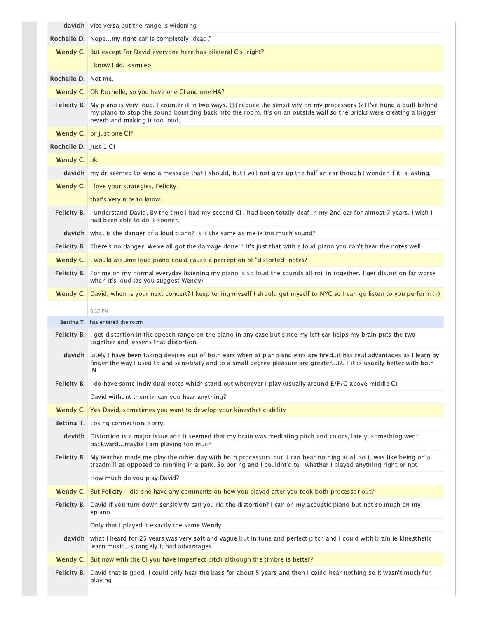|                       | <b>davidh</b> vice versa but the range is widening                                                                                                                                                                                                                                  |
|-----------------------|-------------------------------------------------------------------------------------------------------------------------------------------------------------------------------------------------------------------------------------------------------------------------------------|
|                       | Rochelle D. Nopemy right ear is completely "dead."                                                                                                                                                                                                                                  |
| Wendy C. $\vert$      | But except for David everyone here has bilateral CIs, right?                                                                                                                                                                                                                        |
|                       | I know I do. <smile></smile>                                                                                                                                                                                                                                                        |
| Rochelle D.           | Not me.                                                                                                                                                                                                                                                                             |
|                       | Wendy C.   Oh Rochelle, so you have one CI and one HA?                                                                                                                                                                                                                              |
| Felicity B.           | My piano is very loud. I counter it in two ways. (1) reduce the sensitivity on my processors (2) I've hung a quilt behind<br>my piano to stop the sound bouncing back into the room. It's on an outside wall so the bricks were creating a bigger<br>reverb and making it too loud. |
| Wendy C.              | or just one CI?                                                                                                                                                                                                                                                                     |
| Rochelle D. Just 1 Cl |                                                                                                                                                                                                                                                                                     |
| Wendy C. ok           |                                                                                                                                                                                                                                                                                     |
|                       | davidh   my dr seemed to send a message that I should, but I will not give up the half an ear though I wonder if it is lasting.                                                                                                                                                     |
|                       | Wendy C.   I love your strategies, Felicity                                                                                                                                                                                                                                         |
|                       | that's very nice to know.                                                                                                                                                                                                                                                           |
| <b>Felicity B.</b>    | I understand David. By the time I had my second CII had been totally deaf in my 2nd ear for almost 7 years. I wish I<br>had been able to do it sooner.                                                                                                                              |
|                       | davidh what is the danger of a loud piano? is it the same as me ie too much sound?                                                                                                                                                                                                  |
|                       | Felicity B. There's no danger. We've all got the damage done!!! It's just that with a loud piano you can't hear the notes well                                                                                                                                                      |
|                       | Wendy C.   I would assume loud piano could cause a perception of "distorted" notes?                                                                                                                                                                                                 |
| Felicity B.           | For me on my normal everyday listening my piano is so loud the sounds all roil in together. I get distortion far worse<br>when it's loud (as you suggest Wendy)                                                                                                                     |
| Wendy C.              | David, when is your next concert? I keep telling myself I should get myself to NYC so I can go listen to you perform :-)                                                                                                                                                            |
|                       |                                                                                                                                                                                                                                                                                     |
|                       | 8:15 PM                                                                                                                                                                                                                                                                             |
|                       | Bettina T. has entered the room                                                                                                                                                                                                                                                     |
| <b>Felicity B.</b>    | I get distortion in the speech range on the piano in any case but since my left ear helps my brain puts the two<br>together and lessens that distortion.                                                                                                                            |
| davidh                | lately I have been taking devices out of both ears when at piano and ears are tired. it has real advantages as I learn by<br>finger the way I used to and sensitivity and to a small degree pleasure are greaterBUT it is usually better with both<br>IN                            |
|                       | Felicity B. 1 do have some individual notes which stand out whenever I play (usually around E/F/G above middle C)                                                                                                                                                                   |
|                       | David without them in can you hear anything?                                                                                                                                                                                                                                        |
| Wendy C.              | Yes David, sometimes you want to develop your kinesthetic ability                                                                                                                                                                                                                   |
|                       | <b>Bettina T.</b> Losing connection, sorry.                                                                                                                                                                                                                                         |
| davidh                | Distortion is a major issue and it seemed that my brain was mediating pitch and colors, lately, something went<br>backwardmaybe I am playing too much                                                                                                                               |
| Felicity B.           | My teacher made me play the other day with both processors out. I can hear nothing at all so it was like being on a<br>treadmill as opposed to running in a park. So boring and I couldnt'd tell whether I played anything right or not                                             |
|                       | How much do you play David?                                                                                                                                                                                                                                                         |
| Wendy C.              | But Felicity - did she have any comments on how you played after you took both processor out?                                                                                                                                                                                       |
| Felicity B.           | David if you turn down sensitivity can you rid the distortion? I can on my acoustic piano but not so much on my<br>epiano                                                                                                                                                           |
|                       | Only that I played it exactly the same Wendy                                                                                                                                                                                                                                        |
| davidh                | what I heard for 25 years was very soft and vague but in tune and perfect pitch and I could with brain ie kinesthetic<br>learn musicstrangely it had advantages                                                                                                                     |
| Wendy C.              | But now with the CI you have imperfect pitch although the timbre is better?                                                                                                                                                                                                         |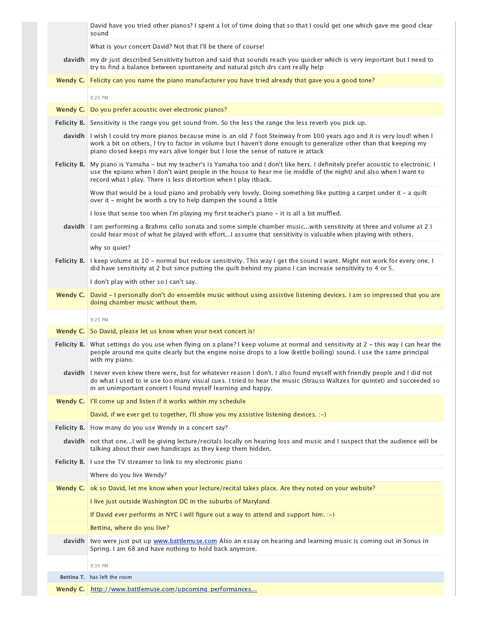|             | David have you tried other pianos? I spent a lot of time doing that so that I could get one which gave me good clear<br>sound                                                                                                                                                                                                         |
|-------------|---------------------------------------------------------------------------------------------------------------------------------------------------------------------------------------------------------------------------------------------------------------------------------------------------------------------------------------|
|             | What is your concert David? Not that I'll be there of course!                                                                                                                                                                                                                                                                         |
| davidh      | my dr just described Sensitivity button and said that sounds reach you quicker which is very important but I need to<br>try to find a balance between spontaneity and natural pitch drs cant really help                                                                                                                              |
| Wendy C.    | Felicity can you name the piano manufacturer you have tried already that gave you a good tone?                                                                                                                                                                                                                                        |
|             | 8:20 PM                                                                                                                                                                                                                                                                                                                               |
| Wendy C.    | Do you prefer acoustic over electronic pianos?                                                                                                                                                                                                                                                                                        |
|             | Felicity B. Sensitivity is the range you get sound from. So the less the range the less reverb you pick up.                                                                                                                                                                                                                           |
|             | davidh I wish I could try more pianos because mine is an old 7 foot Steinway from 100 years ago and it is very loud! when I<br>work a bit on others, I try to factor in volume but I haven't done enough to generalize other than that keeping my<br>piano closed keeps my ears alive longer but I lose the sense of nature ie attack |
|             | Felicity B.   My piano is Yamaha - but my teacher's is Yamaha too and I don't like hers. I definitely prefer acoustic to electronic. I<br>use the epiano when I don't want people in the house to hear me (ie middle of the night) and also when I want to<br>record what I play. There is less distortion when I play itback.        |
|             | Wow that would be a loud piano and probably very lovely. Doing something like putting a carpet under it - a quilt<br>over it - might be worth a try to help dampen the sound a little                                                                                                                                                 |
|             | I lose that sense too when I'm playing my first teacher's piano - it is all a bit muffled.                                                                                                                                                                                                                                            |
| davidh      | 12 I am performing a Brahms cello sonata and some simple chamber musicwith sensitivity at three and volume at 2<br>could hear most of what he played with effortI assume that sensitivity is valuable when playing with others.                                                                                                       |
|             | why so quiet?                                                                                                                                                                                                                                                                                                                         |
| Felicity B. | I keep volume at 10 - normal but reduce sensitivity. This way I get the sound I want. Might not work for every one. I<br>did have sensitivity at 2 but since putting the quilt behind my piano I can increase sensitivity to 4 or 5.                                                                                                  |
|             | I don't play with other so I can't say.                                                                                                                                                                                                                                                                                               |
| Wendy C.    | David - I personally don't do ensemble music without using assistive listening devices. I am so impressed that you are<br>doing chamber music without them.                                                                                                                                                                           |
|             | 8:25 PM                                                                                                                                                                                                                                                                                                                               |
| Wendy C.    | So David, please let us know when your next concert is!                                                                                                                                                                                                                                                                               |
|             | Felicity B. What settings do you use when flying on a plane? I keep volume at normal and sensitivity at 2 - this way I can hear the<br>people around me quite clearly but the engine noise drops to a low (kettle boiling) sound. I use the same principal<br>with my piano.                                                          |
|             | davidh I never even knew there were, but for whatever reason I don't. I also found myself with friendly people and I did not<br>do what I used to ie use too many visual cues. I tried to hear the music (Strauss Waltzes for quintet) and succeeded so<br>in an unimportant concert I found myself learning and happy.               |
|             | Wendy C.   I'll come up and listen if it works within my schedule                                                                                                                                                                                                                                                                     |
|             | David, if we ever get to together, I'll show you my assistive listening devices. :-)                                                                                                                                                                                                                                                  |
| Felicity B. | How many do you use Wendy in a concert say?                                                                                                                                                                                                                                                                                           |
|             | davidh   not that one I will be giving lecture/recitals locally on hearing loss and music and I suspect that the audience will be<br>talking about their own handicaps as they keep them hidden.                                                                                                                                      |
| Felicity B. | I use the TV streamer to link to my electronic piano                                                                                                                                                                                                                                                                                  |
|             | Where do you live Wendy?                                                                                                                                                                                                                                                                                                              |
| Wendy C.    | ok so David, let me know when your lecture/recital takes place. Are they noted on your website?                                                                                                                                                                                                                                       |
|             | I live just outside Washington DC in the suburbs of Maryland                                                                                                                                                                                                                                                                          |
|             | If David ever performs in NYC I will figure out a way to attend and support him. :-)                                                                                                                                                                                                                                                  |
|             | Bettina, where do you live?                                                                                                                                                                                                                                                                                                           |
|             | davidh two were just put up www.battlemuse.com Also an essay on hearing and learning music is coming out in Sonus in<br>Spring. I am 68 and have nothing to hold back anymore.                                                                                                                                                        |
|             | 8:30 PM                                                                                                                                                                                                                                                                                                                               |
|             | <b>Bettina T.</b> has left the room                                                                                                                                                                                                                                                                                                   |
|             | Wendy C. http://www.battlemuse.com/upcoming_performances                                                                                                                                                                                                                                                                              |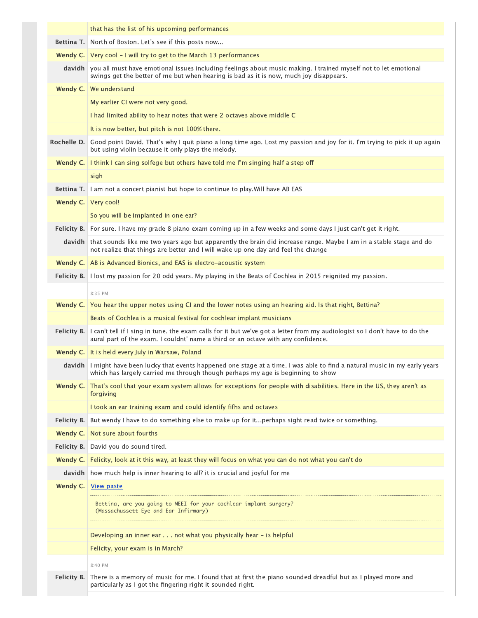|             | that has the list of his upcoming performances                                                                                                                                                                   |
|-------------|------------------------------------------------------------------------------------------------------------------------------------------------------------------------------------------------------------------|
|             | <b>Bettina T.</b> North of Boston. Let's see if this posts now                                                                                                                                                   |
|             | <b>Wendy C.</b> Very cool $-1$ will try to get to the March 13 performances                                                                                                                                      |
| davidh      | you all must have emotional issues including feelings about music making. I trained myself not to let emotional<br>swings get the better of me but when hearing is bad as it is now, much joy disappears.        |
| Wendy C.    | We understand                                                                                                                                                                                                    |
|             | My earlier CI were not very good.                                                                                                                                                                                |
|             | I had limited ability to hear notes that were 2 octaves above middle C                                                                                                                                           |
|             | It is now better, but pitch is not 100% there.                                                                                                                                                                   |
| Rochelle D. | Good point David. That's why I quit piano a long time ago. Lost my passion and joy for it. I'm trying to pick it up again<br>but using violin because it only plays the melody.                                  |
| Wendy C.    | I think I can sing solfege but others have told me I'm singing half a step off                                                                                                                                   |
|             | sigh                                                                                                                                                                                                             |
| Bettina T.  | I am not a concert pianist but hope to continue to play. Will have AB EAS                                                                                                                                        |
| Wendy C.    | Very cool!                                                                                                                                                                                                       |
|             | So you will be implanted in one ear?                                                                                                                                                                             |
|             | Felicity B. For sure. I have my grade 8 piano exam coming up in a few weeks and some days I just can't get it right.                                                                                             |
|             | davidh that sounds like me two years ago but apparently the brain did increase range. Maybe I am in a stable stage and do<br>not realize that things are better and I will wake up one day and feel the change   |
|             | <b>Wendy C.</b> AB is Advanced Bionics, and EAS is electro-acoustic system                                                                                                                                       |
|             | Felicity B. 1 lost my passion for 20 odd years. My playing in the Beats of Cochlea in 2015 reignited my passion.                                                                                                 |
|             | 8:35 PM                                                                                                                                                                                                          |
| Wendy C.    | You hear the upper notes using CI and the lower notes using an hearing aid. Is that right, Bettina?                                                                                                              |
|             | Beats of Cochlea is a musical festival for cochlear implant musicians                                                                                                                                            |
| Felicity B. | I can't tell if I sing in tune, the exam calls for it but we've got a letter from my audiologist so I don't have to do the<br>aural part of the exam. I couldnt' name a third or an octave with any confidence.  |
| Wendy C.    | It is held every July in Warsaw, Poland                                                                                                                                                                          |
|             | davidh I might have been lucky that events happened one stage at a time. I was able to find a natural music in my early years<br>which has largely carried me through though perhaps my age is beginning to show |
| Wendy C.    | That's cool that your exam system allows for exceptions for people with disabilities. Here in the US, they aren't as<br>forgiving                                                                                |
|             | I took an ear training exam and could identify fifhs and octaves                                                                                                                                                 |
| Felicity B. | But wendy I have to do something else to make up for itperhaps sight read twice or something.                                                                                                                    |
| Wendy C.    | Not sure about fourths                                                                                                                                                                                           |
| Felicity B. | David you do sound tired.                                                                                                                                                                                        |
| Wendy C.    | Felicity, look at it this way, at least they will focus on what you can do not what you can't do                                                                                                                 |
| davidh      | how much help is inner hearing to all? it is crucial and joyful for me                                                                                                                                           |
| Wendy C.    | <u>View paste</u>                                                                                                                                                                                                |
|             | Bettina, are you going to MEEI for your cochlear implant surgery?<br>(Massachussett Eye and Ear Infirmary)                                                                                                       |
|             | Developing an inner ear not what you physically hear - is helpful                                                                                                                                                |
|             | Felicity, your exam is in March?                                                                                                                                                                                 |
|             | 8:40 PM                                                                                                                                                                                                          |
| Felicity B. | There is a memory of music for me. I found that at first the piano sounded dreadful but as I played more and<br>particularly as I got the fingering right it sounded right.                                      |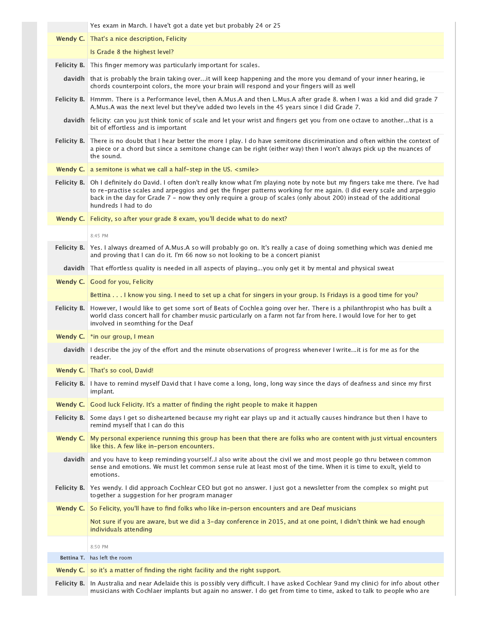|             | Yes exam in March. I have't got a date yet but probably 24 or 25                                                                                                                                                                                                                                                                                                                                          |
|-------------|-----------------------------------------------------------------------------------------------------------------------------------------------------------------------------------------------------------------------------------------------------------------------------------------------------------------------------------------------------------------------------------------------------------|
|             | Wendy C.   That's a nice description, Felicity                                                                                                                                                                                                                                                                                                                                                            |
|             | Is Grade 8 the highest level?                                                                                                                                                                                                                                                                                                                                                                             |
|             | Felicity B. This finger memory was particularly important for scales.                                                                                                                                                                                                                                                                                                                                     |
|             | davidh that is probably the brain taking overit will keep happening and the more you demand of your inner hearing, ie<br>chords counterpoint colors, the more your brain will respond and your fingers will as well                                                                                                                                                                                       |
|             | Felicity B.   Hmmm. There is a Performance level, then A.Mus.A and then L.Mus.A after grade 8. when I was a kid and did grade 7<br>A.Mus.A was the next level but they've added two levels in the 45 years since I did Grade 7.                                                                                                                                                                           |
|             | davidh felicity: can you just think tonic of scale and let your wrist and fingers get you from one octave to anotherthat is a<br>bit of effortless and is important                                                                                                                                                                                                                                       |
|             | Felicity B. There is no doubt that I hear better the more I play. I do have semitone discrimination and often within the context of<br>a piece or a chord but since a semitone change can be right (either way) then I won't always pick up the nuances of<br>the sound.                                                                                                                                  |
|             | Wendy C.   a semitone is what we call a half-step in the US. <smile></smile>                                                                                                                                                                                                                                                                                                                              |
|             | Felicity B. Oh I definitely do David. I often don't really know what I'm playing note by note but my fingers take me there. I've had<br>to re-practise scales and arpeggios and get the finger patterns working for me again. (I did every scale and arpeggio<br>back in the day for Grade 7 - now they only require a group of scales (only about 200) instead of the additional<br>hundreds I had to do |
|             | Wendy C. Felicity, so after your grade 8 exam, you'll decide what to do next?                                                                                                                                                                                                                                                                                                                             |
|             | 8:45 PM                                                                                                                                                                                                                                                                                                                                                                                                   |
|             | Felicity B. Yes. I always dreamed of A.Mus.A so will probably go on. It's really a case of doing something which was denied me<br>and proving that I can do it. I'm 66 now so not looking to be a concert pianist                                                                                                                                                                                         |
|             | davidh That effortless quality is needed in all aspects of playingyou only get it by mental and physical sweat                                                                                                                                                                                                                                                                                            |
|             | Wendy C. Good for you, Felicity                                                                                                                                                                                                                                                                                                                                                                           |
|             | Bettina I know you sing. I need to set up a chat for singers in your group. Is Fridays is a good time for you?                                                                                                                                                                                                                                                                                            |
| Felicity B. | However, I would like to get some sort of Beats of Cochlea going over her. There is a philanthropist who has built a<br>world class concert hall for chamber music particularly on a farm not far from here. I would love for her to get<br>involved in seomthing for the Deaf                                                                                                                            |
|             | Wendy C.   *in our group, I mean                                                                                                                                                                                                                                                                                                                                                                          |
|             | davidh I describe the joy of the effort and the minute observations of progress whenever I writeit is for me as for the<br>reader.                                                                                                                                                                                                                                                                        |
|             | <b>Wendy C.</b> That's so cool, David!                                                                                                                                                                                                                                                                                                                                                                    |
|             | Felicity B.   I have to remind myself David that I have come a long, long, long way since the days of deafness and since my first<br>implant.                                                                                                                                                                                                                                                             |
| Wendy $C.$  | Good luck Felicity. It's a matter of finding the right people to make it happen                                                                                                                                                                                                                                                                                                                           |
| Felicity B. | Some days I get so disheartened because my right ear plays up and it actually causes hindrance but then I have to<br>remind myself that I can do this                                                                                                                                                                                                                                                     |
| Wendy C.    | My personal experience running this group has been that there are folks who are content with just virtual encounters<br>like this. A few like in-person encounters.                                                                                                                                                                                                                                       |
|             | davidh and you have to keep reminding yourself. I also write about the civil we and most people go thru between common<br>sense and emotions. We must let common sense rule at least most of the time. When it is time to exult, yield to<br>emotions.                                                                                                                                                    |
|             | Felicity B. Yes wendy. I did approach Cochlear CEO but got no answer. I just got a newsletter from the complex so might put<br>together a suggestion for her program manager                                                                                                                                                                                                                              |
| Wendy C.    | So Felicity, you'll have to find folks who like in-person encounters and are Deaf musicians                                                                                                                                                                                                                                                                                                               |
|             | Not sure if you are aware, but we did a 3-day conference in 2015, and at one point, I didn't think we had enough<br>individuals attending                                                                                                                                                                                                                                                                 |
|             | 8:50 PM                                                                                                                                                                                                                                                                                                                                                                                                   |
|             | <b>Bettina T.</b> has left the room                                                                                                                                                                                                                                                                                                                                                                       |
| Wendy C.    | so it's a matter of finding the right facility and the right support.                                                                                                                                                                                                                                                                                                                                     |
| Felicity B. | In Australia and near Adelaide this is possibly very difficult. I have asked Cochlear 9and my clinic) for info about other<br>musicians with Cochlaer implants but again no answer. I do get from time to time, asked to talk to people who are                                                                                                                                                           |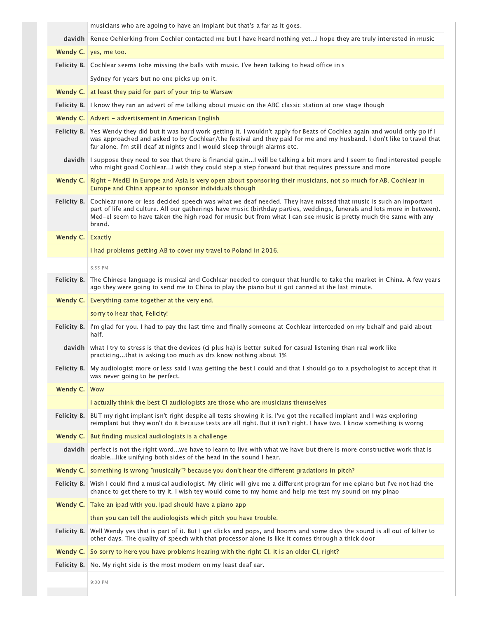|                  | musicians who are agoing to have an implant but that's a far as it goes.                                                                                                                                                                                                                                                                                                             |
|------------------|--------------------------------------------------------------------------------------------------------------------------------------------------------------------------------------------------------------------------------------------------------------------------------------------------------------------------------------------------------------------------------------|
|                  | davidh Renee Oehlerking from Cochler contacted me but I have heard nothing yetI hope they are truly interested in music                                                                                                                                                                                                                                                              |
| Wendy C.         | yes, me too.                                                                                                                                                                                                                                                                                                                                                                         |
|                  | <b>Felicity B.</b> Cochlear seems tobe missing the balls with music. I've been talking to head office in s                                                                                                                                                                                                                                                                           |
|                  | Sydney for years but no one picks up on it.                                                                                                                                                                                                                                                                                                                                          |
| Wendy C.         | at least they paid for part of your trip to Warsaw                                                                                                                                                                                                                                                                                                                                   |
|                  | Felicity B. I know they ran an advert of me talking about music on the ABC classic station at one stage though                                                                                                                                                                                                                                                                       |
|                  | Wendy C.   Advert - advertisement in American English                                                                                                                                                                                                                                                                                                                                |
|                  | Felicity B. Yes Wendy they did but it was hard work getting it. I wouldn't apply for Beats of Cochlea again and would only go if I<br>was approached and asked to by Cochlear/the festival and they paid for me and my husband. I don't like to travel that<br>far alone. I'm still deaf at nights and I would sleep through alarms etc.                                             |
|                  | davidh I suppose they need to see that there is financial gainI will be talking a bit more and I seem to find interested people<br>who might goad CochlearI wish they could step a step forward but that requires pressure and more                                                                                                                                                  |
| Wendy C.         | Right - MedEl in Europe and Asia is very open about sponsoring their musicians, not so much for AB. Cochlear in<br>Europe and China appear to sponsor individuals though                                                                                                                                                                                                             |
|                  | Felicity B. Cochlear more or less decided speech was what we deaf needed. They have missed that music is such an important<br>part of life and culture. All our gatherings have music (birthday parties, weddings, funerals and lots more in between).<br>Med-el seem to have taken the high road for music but from what I can see music is pretty much the same with any<br>brand. |
| Wendy C. Exactly |                                                                                                                                                                                                                                                                                                                                                                                      |
|                  | I had problems getting AB to cover my travel to Poland in 2016.                                                                                                                                                                                                                                                                                                                      |
|                  | 8:55 PM                                                                                                                                                                                                                                                                                                                                                                              |
| Felicity B.      | The Chinese language is musical and Cochlear needed to conquer that hurdle to take the market in China. A few years<br>ago they were going to send me to China to play the piano but it got canned at the last minute.                                                                                                                                                               |
|                  | <b>Wendy C.</b> Everything came together at the very end.                                                                                                                                                                                                                                                                                                                            |
|                  | sorry to hear that, Felicity!                                                                                                                                                                                                                                                                                                                                                        |
| Felicity B.      | I'm glad for you. I had to pay the last time and finally someone at Cochlear interceded on my behalf and paid about<br>half.                                                                                                                                                                                                                                                         |
|                  | davidh what I try to stress is that the devices (ci plus ha) is better suited for casual listening than real work like<br>practicingthat is asking too much as drs know nothing about 1%                                                                                                                                                                                             |
|                  | Felicity B.   My audiologist more or less said I was getting the best I could and that I should go to a psychologist to accept that it<br>was never going to be perfect.                                                                                                                                                                                                             |
| Wendy C.         | Wow                                                                                                                                                                                                                                                                                                                                                                                  |
|                  | I actually think the best CI audiologists are those who are musicians themselves                                                                                                                                                                                                                                                                                                     |
|                  | Felicity B. BUT my right implant isn't right despite all tests showing it is. I've got the recalled implant and I was exploring<br>reimplant but they won't do it because tests are all right. But it isn't right. I have two. I know something is worng                                                                                                                             |
| Wendy C.         | But finding musical audiologists is a challenge                                                                                                                                                                                                                                                                                                                                      |
| davidh           | perfect is not the right wordwe have to learn to live with what we have but there is more constructive work that is<br>doable like unifying both sides of the head in the sound I hear.                                                                                                                                                                                              |
| Wendy C.         | something is wrong "musically"? because you don't hear the different gradations in pitch?                                                                                                                                                                                                                                                                                            |
| Felicity B.      | Wish I could find a musical audiologist. My clinic will give me a different program for me epiano but I've not had the<br>chance to get there to try it. I wish tey would come to my home and help me test my sound on my pinao                                                                                                                                                      |
|                  | Wendy C.   Take an ipad with you. Ipad should have a piano app                                                                                                                                                                                                                                                                                                                       |
|                  | then you can tell the audiologists which pitch you have trouble.                                                                                                                                                                                                                                                                                                                     |
| Felicity B.      | Well Wendy yes that is part of it. But I get clicks and pops, and booms and some days the sound is all out of kilter to<br>other days. The quality of speech with that processor alone is like it comes through a thick door                                                                                                                                                         |
| Wendy C.         | So sorry to here you have problems hearing with the right CI. It is an older CI, right?                                                                                                                                                                                                                                                                                              |
|                  | Felicity B. No. My right side is the most modern on my least deaf ear.                                                                                                                                                                                                                                                                                                               |